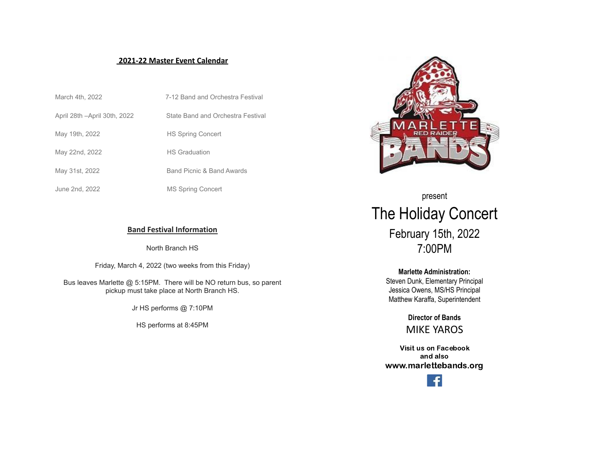## **2021-22 Master Event Calendar**

| March 4th, 2022               | 7-12 Band and Orchestra Festival  |
|-------------------------------|-----------------------------------|
| April 28th - April 30th, 2022 | State Band and Orchestra Festival |
| May 19th, 2022                | <b>HS Spring Concert</b>          |
| May 22nd, 2022                | <b>HS Graduation</b>              |
| May 31st, 2022                | Band Picnic & Band Awards         |
| June 2nd, 2022                | <b>MS Spring Concert</b>          |



North Branch HS

Friday, March 4, 2022 (two weeks from this Friday)

Bus leaves Marlette @ 5:15PM. There will be NO return bus, so parent pickup must take place at North Branch HS.

Jr HS performs @ 7:10PM

HS performs at 8:45PM



present The Holiday Concert February 15th, 2022 7:00PM

## **Marlette Administration:**

Steven Dunk, Elementary Principal Jessica Owens, MS/HS Principal Matthew Karaffa, Superintendent

> **Director of Bands** MIKE YAROS

Visit us on Facebook and also www.marlettebands.org